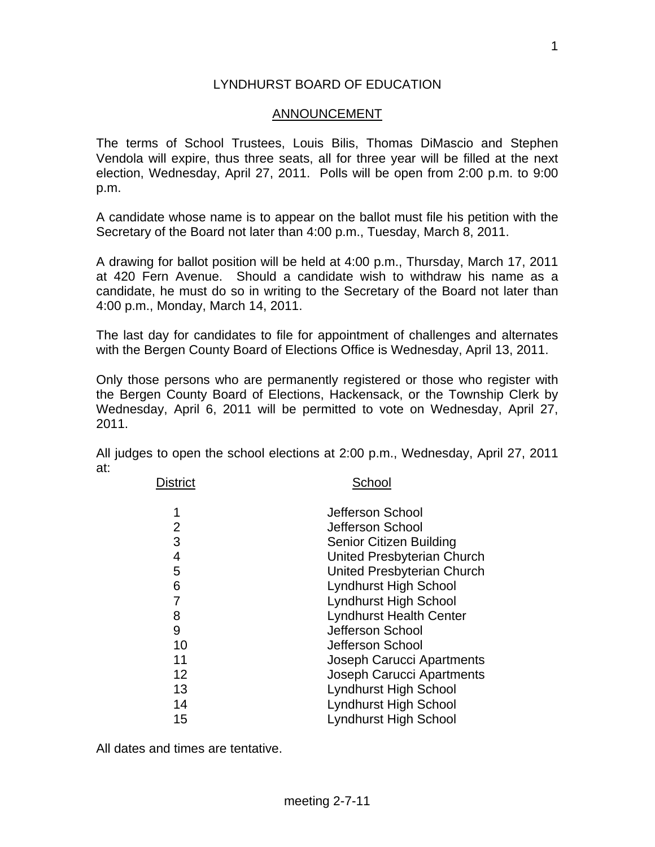## LYNDHURST BOARD OF EDUCATION

## ANNOUNCEMENT

The terms of School Trustees, Louis Bilis, Thomas DiMascio and Stephen Vendola will expire, thus three seats, all for three year will be filled at the next election, Wednesday, April 27, 2011. Polls will be open from 2:00 p.m. to 9:00 p.m.

A candidate whose name is to appear on the ballot must file his petition with the Secretary of the Board not later than 4:00 p.m., Tuesday, March 8, 2011.

A drawing for ballot position will be held at 4:00 p.m., Thursday, March 17, 2011 at 420 Fern Avenue. Should a candidate wish to withdraw his name as a candidate, he must do so in writing to the Secretary of the Board not later than 4:00 p.m., Monday, March 14, 2011.

The last day for candidates to file for appointment of challenges and alternates with the Bergen County Board of Elections Office is Wednesday, April 13, 2011.

Only those persons who are permanently registered or those who register with the Bergen County Board of Elections, Hackensack, or the Township Clerk by Wednesday, April 6, 2011 will be permitted to vote on Wednesday, April 27, 2011.

All judges to open the school elections at 2:00 p.m., Wednesday, April 27, 2011 at:

| District | School                           |
|----------|----------------------------------|
| 1        | Jefferson School                 |
| 2        | Jefferson School                 |
| 3        | <b>Senior Citizen Building</b>   |
| 4        | United Presbyterian Church       |
| 5        | United Presbyterian Church       |
| 6        | <b>Lyndhurst High School</b>     |
| 7        | <b>Lyndhurst High School</b>     |
| 8        | <b>Lyndhurst Health Center</b>   |
| 9        | Jefferson School                 |
| 10       | Jefferson School                 |
| 11       | <b>Joseph Carucci Apartments</b> |
| 12       | <b>Joseph Carucci Apartments</b> |
| 13       | <b>Lyndhurst High School</b>     |
| 14       | <b>Lyndhurst High School</b>     |
| 15       | <b>Lyndhurst High School</b>     |
|          |                                  |

All dates and times are tentative.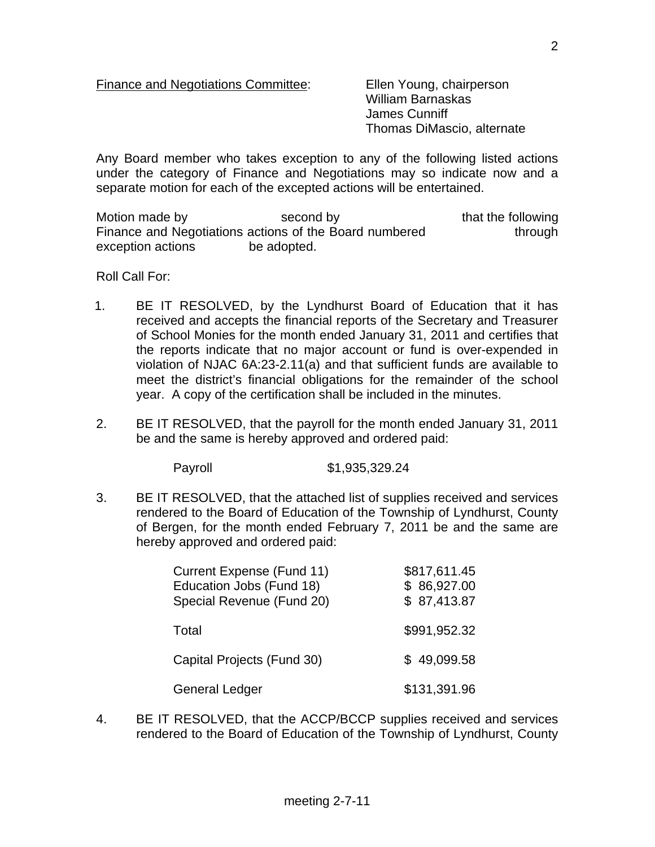Finance and Negotiations Committee: Ellen Young, chairperson

 William Barnaskas James Cunniff Thomas DiMascio, alternate

Any Board member who takes exception to any of the following listed actions under the category of Finance and Negotiations may so indicate now and a separate motion for each of the excepted actions will be entertained.

Motion made by second by that the following Finance and Negotiations actions of the Board numbered through exception actions be adopted.

Roll Call For:

- 1. BE IT RESOLVED, by the Lyndhurst Board of Education that it has received and accepts the financial reports of the Secretary and Treasurer of School Monies for the month ended January 31, 2011 and certifies that the reports indicate that no major account or fund is over-expended in violation of NJAC 6A:23-2.11(a) and that sufficient funds are available to meet the district's financial obligations for the remainder of the school year. A copy of the certification shall be included in the minutes.
- 2. BE IT RESOLVED, that the payroll for the month ended January 31, 2011 be and the same is hereby approved and ordered paid:

Payroll \$1,935,329.24

3. BE IT RESOLVED, that the attached list of supplies received and services rendered to the Board of Education of the Township of Lyndhurst, County of Bergen, for the month ended February 7, 2011 be and the same are hereby approved and ordered paid:

| <b>Current Expense (Fund 11)</b><br>Education Jobs (Fund 18)<br>Special Revenue (Fund 20) | \$817,611.45<br>\$86,927.00<br>\$87,413.87 |
|-------------------------------------------------------------------------------------------|--------------------------------------------|
| Total                                                                                     | \$991,952.32                               |
| Capital Projects (Fund 30)                                                                | \$49,099.58                                |
| <b>General Ledger</b>                                                                     | \$131,391.96                               |

4. BE IT RESOLVED, that the ACCP/BCCP supplies received and services rendered to the Board of Education of the Township of Lyndhurst, County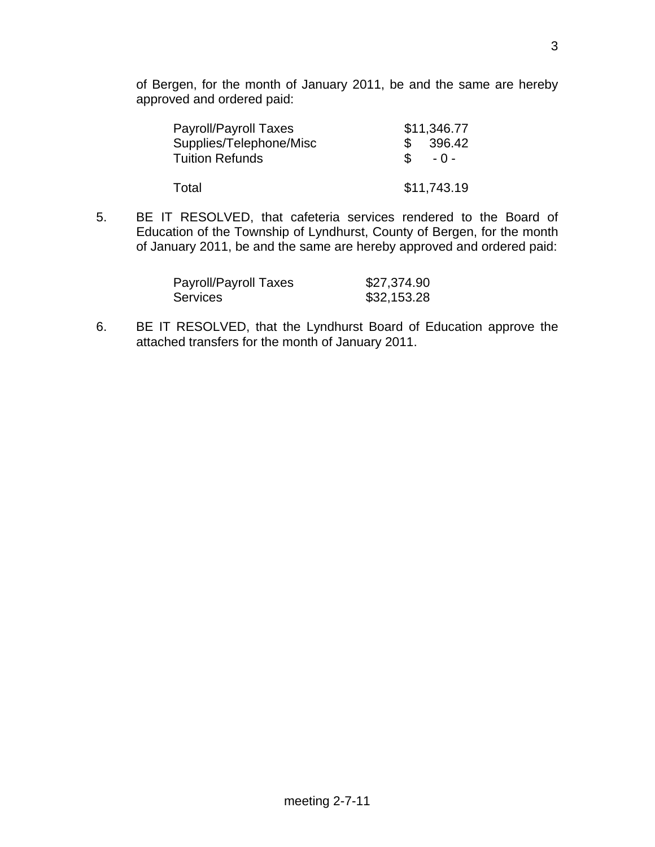of Bergen, for the month of January 2011, be and the same are hereby approved and ordered paid:

| Payroll/Payroll Taxes   |               | \$11,346.77 |
|-------------------------|---------------|-------------|
| Supplies/Telephone/Misc |               | 396.42      |
| <b>Tuition Refunds</b>  | $\mathcal{S}$ | $-0-$       |
|                         |               |             |
| Total                   |               | \$11,743.19 |

5. BE IT RESOLVED, that cafeteria services rendered to the Board of Education of the Township of Lyndhurst, County of Bergen, for the month of January 2011, be and the same are hereby approved and ordered paid:

| Payroll/Payroll Taxes | \$27,374.90 |
|-----------------------|-------------|
| <b>Services</b>       | \$32,153.28 |

6. BE IT RESOLVED, that the Lyndhurst Board of Education approve the attached transfers for the month of January 2011.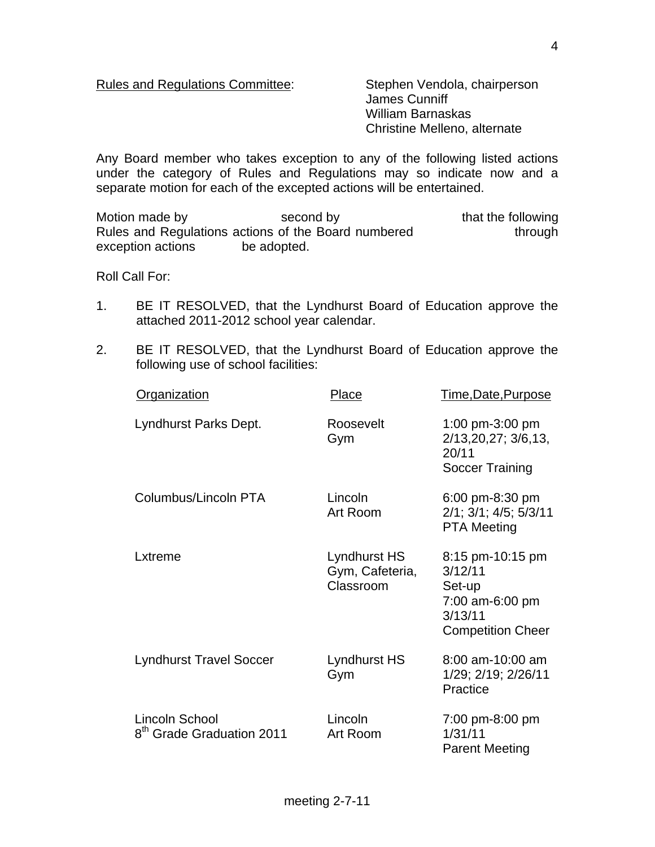Rules and Regulations Committee: Stephen Vendola, chairperson

 James Cunniff William Barnaskas Christine Melleno, alternate

Any Board member who takes exception to any of the following listed actions under the category of Rules and Regulations may so indicate now and a separate motion for each of the excepted actions will be entertained.

Motion made by second by that the following Rules and Regulations actions of the Board numbered through exception actions be adopted.

Roll Call For:

- 1. BE IT RESOLVED, that the Lyndhurst Board of Education approve the attached 2011-2012 school year calendar.
- 2. BE IT RESOLVED, that the Lyndhurst Board of Education approve the following use of school facilities:

| Organization                                            | Place                                        | Time, Date, Purpose                                                                             |
|---------------------------------------------------------|----------------------------------------------|-------------------------------------------------------------------------------------------------|
| Lyndhurst Parks Dept.                                   | Roosevelt<br>Gym                             | 1:00 pm-3:00 pm<br>2/13,20,27; 3/6,13,<br>20/11<br>Soccer Training                              |
| Columbus/Lincoln PTA                                    | Lincoln<br>Art Room                          | 6:00 pm-8:30 pm<br>$2/1$ ; $3/1$ ; $4/5$ ; $5/3/11$<br><b>PTA Meeting</b>                       |
| Lxtreme                                                 | Lyndhurst HS<br>Gym, Cafeteria,<br>Classroom | 8:15 pm-10:15 pm<br>3/12/11<br>Set-up<br>7:00 am-6:00 pm<br>3/13/11<br><b>Competition Cheer</b> |
| <b>Lyndhurst Travel Soccer</b>                          | <b>Lyndhurst HS</b><br>Gym                   | 8:00 am-10:00 am<br>1/29; 2/19; 2/26/11<br>Practice                                             |
| Lincoln School<br>8 <sup>th</sup> Grade Graduation 2011 | Lincoln<br>Art Room                          | 7:00 pm-8:00 pm<br>1/31/11<br><b>Parent Meeting</b>                                             |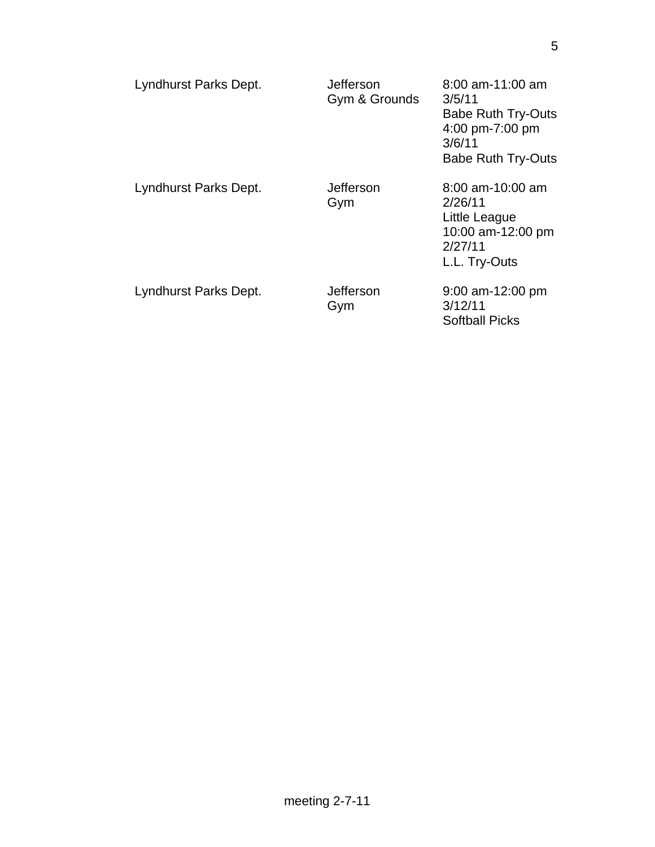| Lyndhurst Parks Dept. | Jefferson<br>Gym & Grounds | $8:00$ am-11:00 am<br>3/5/11<br><b>Babe Ruth Try-Outs</b><br>4:00 pm-7:00 pm<br>3/6/11<br><b>Babe Ruth Try-Outs</b> |
|-----------------------|----------------------------|---------------------------------------------------------------------------------------------------------------------|
| Lyndhurst Parks Dept. | Jefferson<br>Gym           | $8:00$ am-10:00 am<br>2/26/11<br>Little League<br>10:00 am-12:00 pm<br>2/27/11<br>L.L. Try-Outs                     |
| Lyndhurst Parks Dept. | Jefferson<br>Gym           | $9:00$ am-12:00 pm<br>3/12/11<br><b>Softball Picks</b>                                                              |